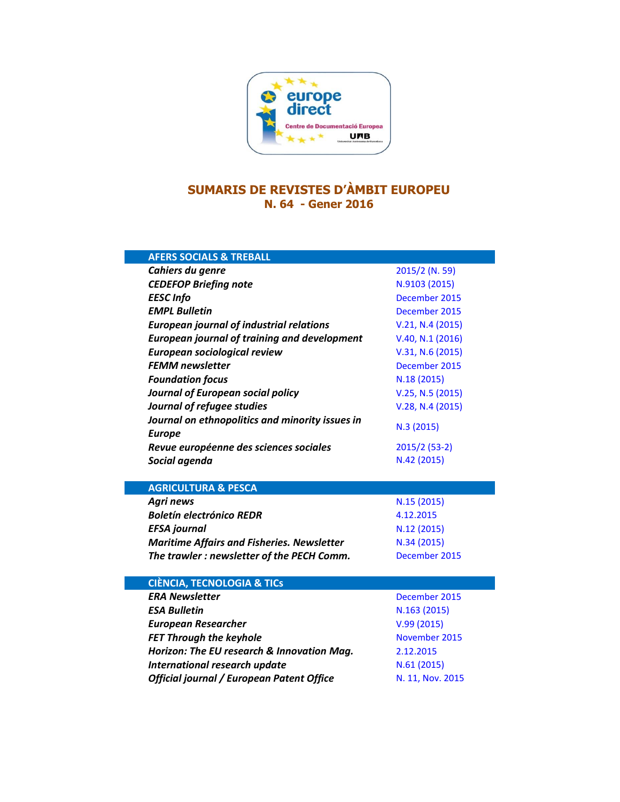

## **SUMARIS DE REVISTES D'ÀMBIT EUROPEU N. 64 - Gener 2016**

| <b>AFERS SOCIALS &amp; TREBALL</b>                                                |                                |
|-----------------------------------------------------------------------------------|--------------------------------|
| Cahiers du genre                                                                  | 2015/2 (N. 59)                 |
| <b>CEDEFOP Briefing note</b>                                                      | N.9103 (2015)                  |
| <b>EESC Info</b>                                                                  | December 2015                  |
| <b>EMPL Bulletin</b>                                                              | December 2015                  |
| <b>European journal of industrial relations</b>                                   | V.21, N.4 (2015)               |
| <b>European journal of training and development</b>                               | V.40, N.1 (2016)               |
| European sociological review                                                      | V.31, N.6 (2015)               |
| <b>FEMM newsletter</b>                                                            | December 2015                  |
| <b>Foundation focus</b>                                                           | N.18 (2015)                    |
| Journal of European social policy                                                 | V.25, N.5 (2015)               |
| Journal of refugee studies                                                        | V.28, N.4 (2015)               |
| Journal on ethnopolitics and minority issues in                                   | N.3 (2015)                     |
| <b>Europe</b>                                                                     |                                |
| Revue européenne des sciences sociales                                            | 2015/2 (53-2)                  |
| Social agenda                                                                     | N.42 (2015)                    |
|                                                                                   |                                |
|                                                                                   |                                |
| <b>AGRICULTURA &amp; PESCA</b>                                                    |                                |
| <b>Agri news</b>                                                                  | N.15 (2015)                    |
| <b>Boletín electrónico REDR</b>                                                   | 4.12.2015                      |
| <b>EFSA</b> journal                                                               | N.12 (2015)                    |
| <b>Maritime Affairs and Fisheries. Newsletter</b>                                 | N.34 (2015)                    |
| The trawler: newsletter of the PECH Comm.                                         | December 2015                  |
|                                                                                   |                                |
| <b>CIÈNCIA, TECNOLOGIA &amp; TICS</b>                                             |                                |
| <b>ERA Newsletter</b>                                                             | December 2015                  |
| <b>ESA Bulletin</b>                                                               | N.163 (2015)                   |
| <b>European Researcher</b>                                                        | V.99(2015)                     |
| <b>FET Through the keyhole</b>                                                    | November 2015                  |
| Horizon: The EU research & Innovation Mag.                                        | 2.12.2015                      |
| <b>International research update</b><br>Official journal / European Patent Office | N.61(2015)<br>N. 11, Nov. 2015 |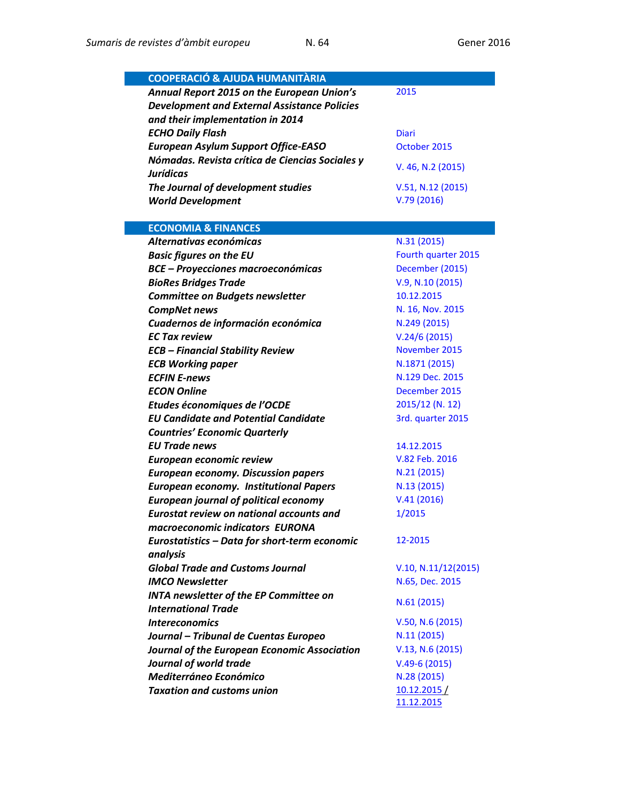| <b>COOPERACIÓ &amp; AJUDA HUMANITÀRIA</b>           |                     |
|-----------------------------------------------------|---------------------|
| Annual Report 2015 on the European Union's          | 2015                |
| <b>Development and External Assistance Policies</b> |                     |
| and their implementation in 2014                    |                     |
| <b>ECHO Daily Flash</b>                             | <b>Diari</b>        |
| <b>European Asylum Support Office-EASO</b>          | October 2015        |
| Nómadas. Revista crítica de Ciencias Sociales y     | V. 46, N.2 (2015)   |
| <b>Jurídicas</b>                                    |                     |
| The Journal of development studies                  | V.51, N.12 (2015)   |
| <b>World Development</b>                            | V.79(2016)          |
| <b>ECONOMIA &amp; FINANCES</b>                      |                     |
| Alternativas económicas                             | N.31(2015)          |
| <b>Basic figures on the EU</b>                      | Fourth quarter 2015 |
| <b>BCE - Proyecciones macroeconómicas</b>           | December (2015)     |
| <b>BioRes Bridges Trade</b>                         | V.9, N.10 (2015)    |
| <b>Committee on Budgets newsletter</b>              | 10.12.2015          |
| <b>CompNet news</b>                                 | N. 16, Nov. 2015    |
| Cuadernos de información económica                  | N.249 (2015)        |
| <b>EC Tax review</b>                                | V.24/6(2015)        |
| <b>ECB - Financial Stability Review</b>             | November 2015       |
| <b>ECB Working paper</b>                            | N.1871 (2015)       |
| <b>ECFIN E-news</b>                                 | N.129 Dec. 2015     |
| <b>ECON Online</b>                                  | December 2015       |
| Etudes économiques de l'OCDE                        | 2015/12 (N. 12)     |
| <b>EU Candidate and Potential Candidate</b>         | 3rd. quarter 2015   |
| <b>Countries' Economic Quarterly</b>                |                     |
| <b>EU Trade news</b>                                | 14.12.2015          |
| European economic review                            | V.82 Feb. 2016      |
| <b>European economy. Discussion papers</b>          | N.21 (2015)         |
| <b>European economy. Institutional Papers</b>       | N.13 (2015)         |
| <b>European journal of political economy</b>        | V.41(2016)          |
| <b>Eurostat review on national accounts and</b>     | 1/2015              |
| macroeconomic indicators EURONA                     |                     |
| Eurostatistics - Data for short-term economic       | 12-2015             |
| analysis                                            |                     |
| <b>Global Trade and Customs Journal</b>             | V.10, N.11/12(2015) |
| <b>IMCO Newsletter</b>                              | N.65, Dec. 2015     |
| <b>INTA newsletter of the EP Committee on</b>       | N.61(2015)          |
| <b>International Trade</b>                          |                     |
| <b>Intereconomics</b>                               | V.50, N.6 (2015)    |
| Journal - Tribunal de Cuentas Europeo               | N.11(2015)          |
| Journal of the European Economic Association        | V.13, N.6 (2015)    |
| Journal of world trade                              | $V.49-6(2015)$      |
| Mediterráneo Económico                              | N.28 (2015)         |
| <b>Taxation and customs union</b>                   | 10.12.2015/         |
|                                                     | 11.12.2015          |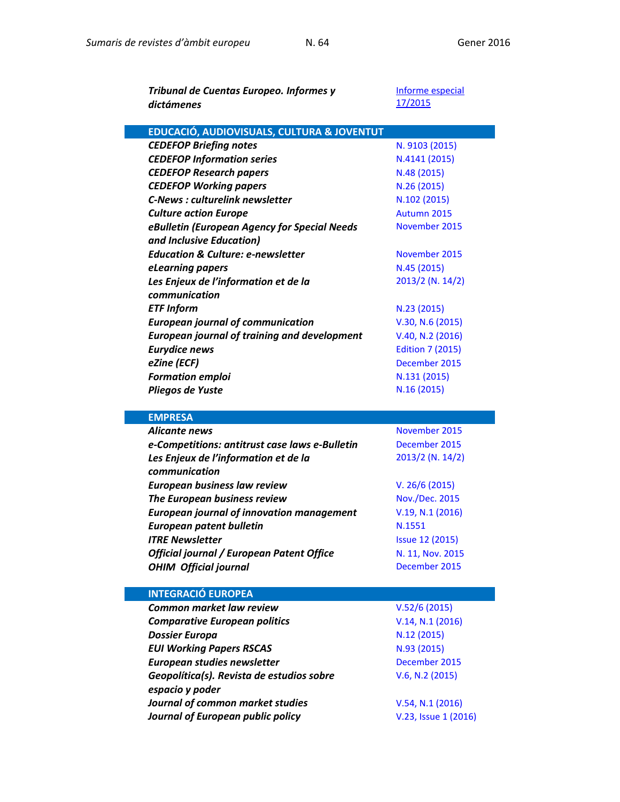| Tribunal de Cuentas Europeo. Informes y             | Informe especial        |
|-----------------------------------------------------|-------------------------|
| dictámenes                                          | 17/2015                 |
|                                                     |                         |
| EDUCACIÓ, AUDIOVISUALS, CULTURA & JOVENTUT          |                         |
| <b>CEDEFOP Briefing notes</b>                       | N. 9103 (2015)          |
| <b>CEDEFOP Information series</b>                   | N.4141 (2015)           |
| <b>CEDEFOP Research papers</b>                      | N.48 (2015)             |
| <b>CEDEFOP Working papers</b>                       | N.26 (2015)             |
| <b>C-News: culturelink newsletter</b>               | N.102 (2015)            |
| <b>Culture action Europe</b>                        | Autumn 2015             |
| eBulletin (European Agency for Special Needs        | November 2015           |
| and Inclusive Education)                            |                         |
| <b>Education &amp; Culture: e-newsletter</b>        | November 2015           |
| eLearning papers                                    | N.45 (2015)             |
| Les Enjeux de l'information et de la                | 2013/2 (N. 14/2)        |
| communication                                       |                         |
| <b>ETF Inform</b>                                   | N.23(2015)              |
| <b>European journal of communication</b>            | V.30, N.6 (2015)        |
| <b>European journal of training and development</b> | V.40, N.2 (2016)        |
| <b>Eurydice news</b>                                | <b>Edition 7 (2015)</b> |
| eZine (ECF)                                         | December 2015           |
| <b>Formation emploi</b>                             | N.131 (2015)            |
| Pliegos de Yuste                                    | N.16 (2015)             |
|                                                     |                         |
| <b>EMPRESA</b>                                      |                         |
| <b>Alicante news</b>                                | November 2015           |
|                                                     |                         |

| Alicante news                                    | November 2015          |
|--------------------------------------------------|------------------------|
| e-Competitions: antitrust case laws e-Bulletin   | December 2015          |
| Les Enjeux de l'information et de la             | 2013/2 (N. 14/2)       |
| communication                                    |                        |
| <b>European business law review</b>              | V. 26/6 (2015)         |
| The European business review                     | <b>Nov./Dec. 2015</b>  |
| <b>European journal of innovation management</b> | V.19, N.1 (2016)       |
| <b>European patent bulletin</b>                  | N.1551                 |
| <b>ITRE Newsletter</b>                           | <b>Issue 12 (2015)</b> |
| Official journal / European Patent Office        | N. 11, Nov. 2015       |
| <b>OHIM Official journal</b>                     | December 2015          |
|                                                  |                        |
|                                                  |                        |
| <b>INTEGRACIÓ EUROPEA</b>                        |                        |
| <b>Common market law review</b>                  | V.52/6(2015)           |
| <b>Comparative European politics</b>             | V.14, N.1 (2016)       |
| <b>Dossier Europa</b>                            | N.12 (2015)            |
| <b>EUI Working Papers RSCAS</b>                  | N.93 (2015)            |
| European studies newsletter                      | December 2015          |
| Geopolítica(s). Revista de estudios sobre        | V.6, N.2 (2015)        |
| espacio y poder                                  |                        |

*Journal of European public policy* Europhysis Andrew [V.23, Issue 1 \(2016\)](http://www.tandfonline.com/toc/rjpp20/current)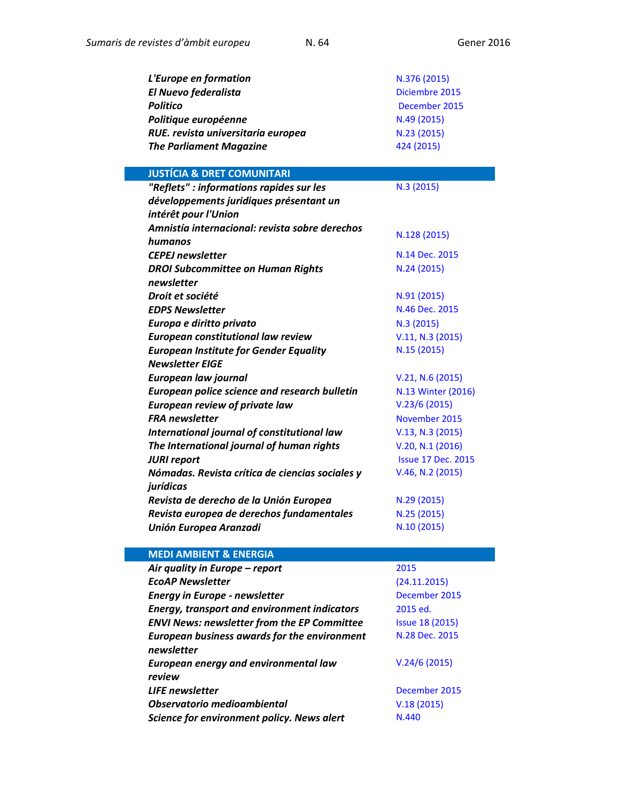| N.376 (2015)   |
|----------------|
| Diciembre 2015 |
| December 2015  |
| N.49 (2015)    |
| N.23 (2015)    |
| 424 (2015)     |
|                |

## **JUSTÍCIA & DRET COMUNITARI** *"Reflets" : informations rapides sur les développements juridiques présentant un intérêt pour l'Union*  N.3 [\(2015\)](http://curia.europa.eu/jcms/upload/docs/application/pdf/2015-12/reflets_3_2015_version_finale.pdf) *Amnistía internacional: revista sobre derechos humanos* N.128 [\(2015\)](https://www.es.amnesty.org/noticias/revista/128-octubre-diciembre-2015/) **CEPEJ newsletter** [N.14 Dec.](http://www.coe.int/t/dghl/cooperation/cepej/newsletter/2015/newsletter_Nov2015_en.asp) 2015 *DROI Subcommittee on Human Rights newsletter*  N.24 [\(2015\)](https://polcms.secure.europarl.europa.eu/cmsdata/upload/0ad5fa2c-72c7-45b7-bbf4-180e5c74e8ca/Issue%2024.pdf) **Droit et société**  $N.91 (2015)$  $N.91 (2015)$ **EDPS Newsletter [N.46 Dec. 2015](https://secure.edps.europa.eu/EDPSWEB/webdav/site/mySite/shared/Documents/EDPS/PressNews/Newsletters/Newsletter_46_EN.pdf)** *Europa e diritto privato* and a N.3 [\(2015\)](http://dialnet.unirioja.es/servlet/revista?codigo=13988) *European constitutional law review* [V.11, N.3](http://journals.cambridge.org/action/displayJournal?jid=ECL) (2015) *European Institute for Gender Equality Newsletter EIGE*  N.15 [\(2015\)](http://eige.europa.eu/sites/default/files/documents/eige_newsletter_no._15_-_17_december_2015.pdf) **European law journal [V.21, N.6](http://onlinelibrary.wiley.com/doi/10.1111/eulj.2015.21.issue-6/issuetoc) (2015)** *European police science and research bulletin* [N.13 Winter](https://www.cepol.europa.eu/sites/default/files/science-research-bulletin-13.pdf) (2016) **European review of private law** [V.23/6](http://www.kluwerlawonline.com/toc.php?area=Journals&mode=bypub&level=5&values=Journals~~European+Review+of+Private+Law~Volume+23+%282015%29) (2015) **FRA newsletter [November](http://fra.europa.eu/en/newsletter/2015/fra-newsletter-november-2015) 2015** *International journal of constitutional law* [V.13, N.3](http://dialnet.unirioja.es/servlet/revista?codigo=12076) (2015) *The International journal of human rights* [V.20, N.1 \(2016\)](http://www.tandfonline.com/toc/fjhr20/current) *JURI report* **ISSUE 17 Dec. 2015** *Nómadas. Revista crítica de ciencias sociales y jurídicas*  [V.46, N.2](http://revistas.ucm.es/index.php/NOMA/issue/current) (2015) **Revista de derecho de la Unión Europea** N.29 [\(2015\)](http://dialnet.unirioja.es/servlet/revista?codigo=2136) *Revista europea de derechos fundamentales* N.25 [\(2015\)](http://dialnet.unirioja.es/servlet/revista?codigo=5833) *Unión Europea Aranzadi* N.10 [\(2015\)](http://dialnet.unirioja.es/servlet/revista?codigo=1713)

## **MEDI AMBIENT & ENERGIA** *Air quality in Europe – report* [2015](http://www.eea.europa.eu/publications/air-quality-in-europe-2015) *EcoAP Newsletter* [\(24.11.2015\)](http://ecoapwebsite.eu/newsletters/index_20151124_en.htm) **Energy in Europe - newsletter [December 2015](http://ec.europa.eu/energy/en/energy_newsletter/newsletter-december-2015)** *Energy, transport and environment indicators* [2015](http://ec.europa.eu/eurostat/en/web/products-statistical-books/-/KS-DK-15-001) ed. **ENVI News: newsletter from the EP Committee** [Issue 18](https://polcms.secure.europarl.europa.eu/cmsdata/upload/e6cdaf7e-0994-40f4-a4c6-6f9df3eef0aa/18.%20ENVI%20News%2021-22%20December%202015%20final.pdf) (2015) *European business awards for the environment newsletter*  [N.28 Dec. 2015](http://us10.campaign-archive1.com/?u=a0a28eea63aa34f3067ef43f5&id=ca3f63eaa0&e=63c998becb) *European energy and environmental law review*  [V.24/6](http://www.kluwerlawonline.com/toc.php?area=Journals&mode=bypub&level=5&values=Journals~~European+Energy+and+Environmental+Law+Review~Volume+24+%282015%29) (2015) **LIFE newsletter [December](http://ec.europa.eu/environment/life/news/newsletter/archive2015/documents/ln1015.pdf) 2015** *Observatorio medioambiental* V.18 [\(2015\)](http://revistas.ucm.es/index.php/OBMD/issue/current) **Science for environment policy. News alert** [N.440](http://ec.europa.eu/environment/integration/research/newsalert/newsalert.htm)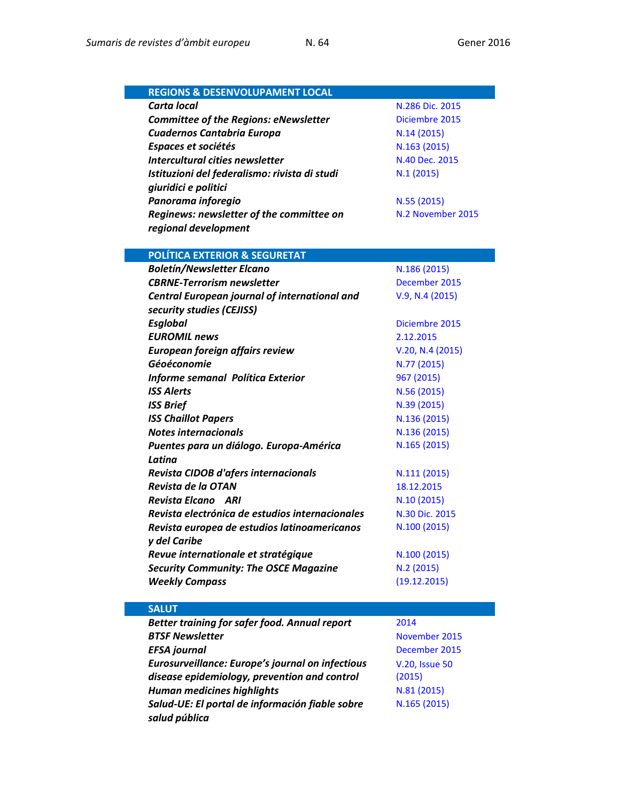| <b>Carta local</b><br>N.286 Dic. 2015                                                                               |
|---------------------------------------------------------------------------------------------------------------------|
|                                                                                                                     |
| <b>Committee of the Regions: eNewsletter</b><br>Diciembre 2015                                                      |
| Cuadernos Cantabria Europa<br>N.14(2015)                                                                            |
| Espaces et sociétés<br>N.163 (2015)                                                                                 |
| Intercultural cities newsletter<br>N.40 Dec. 2015                                                                   |
| Istituzioni del federalismo: rivista di studi<br>N.1(2015)                                                          |
| giuridici e politici                                                                                                |
| Panorama inforegio<br>N.55 (2015)                                                                                   |
| N.2 November 2015<br>Reginews: newsletter of the committee on                                                       |
| regional development                                                                                                |
|                                                                                                                     |
| <b>POLÍTICA EXTERIOR &amp; SEGURETAT</b>                                                                            |
| <b>Boletín/Newsletter Elcano</b><br>N.186 (2015)                                                                    |
| <b>CBRNE-Terrorism newsletter</b><br>December 2015                                                                  |
| V.9, N.4 (2015)<br>Central European journal of international and                                                    |
| security studies (CEJISS)                                                                                           |
| <b>Esglobal</b><br>Diciembre 2015                                                                                   |
| <b>EUROMIL news</b><br>2.12.2015                                                                                    |
| European foreign affairs review<br>V.20, N.4 (2015)                                                                 |
| Géoéconomie<br>N.77 (2015)                                                                                          |
| Informe semanal Política Exterior<br>967 (2015)                                                                     |
| <b>ISS Alerts</b><br>N.56 (2015)                                                                                    |
|                                                                                                                     |
| <b>ISS Brief</b><br>N.39 (2015)                                                                                     |
| <b>ISS Chaillot Papers</b><br>N.136 (2015)<br><b>Notes internacionals</b>                                           |
| N.136 (2015)                                                                                                        |
| N.165 (2015)<br>Puentes para un diálogo. Europa-América<br>Latina                                                   |
|                                                                                                                     |
| Revista CIDOB d'afers internacionals<br>N.111 (2015)<br>Revista de la OTAN                                          |
| 18.12.2015<br>Revista Elcano ARI                                                                                    |
| N.10(2015)<br>Revista electrónica de estudios internacionales<br>N.30 Dic. 2015                                     |
|                                                                                                                     |
| Revista europea de estudios latinoamericanos<br>N.100 (2015)                                                        |
| y del Caribe                                                                                                        |
| Revue internationale et stratégique<br>N.100 (2015)                                                                 |
| <b>Security Community: The OSCE Magazine</b><br>N.2 (2015)                                                          |
| (19.12.2015)<br><b>Weekly Compass</b>                                                                               |
| <b>SALUT</b>                                                                                                        |
| Better training for safer food. Annual report<br>2014                                                               |
| <b>BTSF Newsletter</b><br>November 2015                                                                             |
| <b>EFSA journal</b><br>December 2015                                                                                |
| Eurosurveillance: Europe's journal on infectious<br><b>V.20, Issue 50</b>                                           |
|                                                                                                                     |
|                                                                                                                     |
| disease epidemiology, prevention and control<br>(2015)                                                              |
| <b>Human medicines highlights</b><br>N.81 (2015)<br>N.165 (2015)<br>Salud-UE: El portal de información fiable sobre |